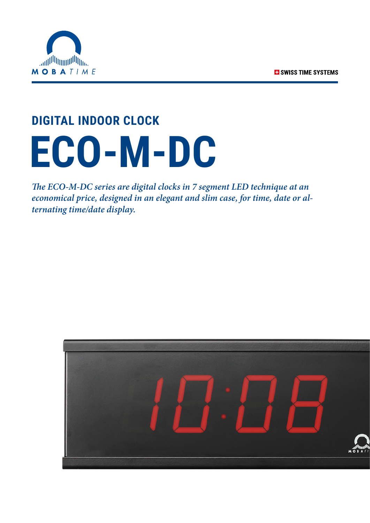

# **DIGITAL INDOOR CLOCK ECO-M-DC**

*The ECO-M-DC series are digital clocks in 7 segment LED technique at an economical price, designed in an elegant and slim case, for time, date or alternating time/date display.*

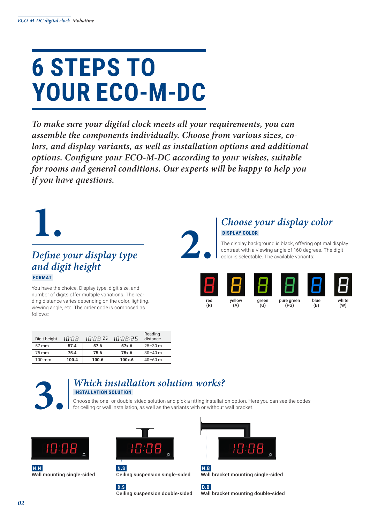## **6 STEPS TO YOUR ECO-M-DC**

*To make sure your digital clock meets all your requirements, you can assemble the components individually. Choose from various sizes, colors, and display variants, as well as installation options and additional options. Configure your ECO-M-DC according to your wishes, suitable for rooms and general conditions. Our experts will be happy to help you if you have questions.*

# **1.**

#### *Define your display type and digit height*  **FORMAT**

You have the choice. Display type, digit size, and number of digits offer multiple variations. The reading distance varies depending on the color, lighting, viewing angle, etc. The order code is composed as follows:

| Digit height    | 10:08 | 10:08 25 | 10:08:25 | Reading<br>distance |
|-----------------|-------|----------|----------|---------------------|
| $57 \text{ mm}$ | 57.4  | 57.6     | 57x.6    | $25 - 30$ m         |
| 75 mm           | 75.4  | 75.6     | 75x.6    | $30 - 40$ m         |
| 100 mm          | 100.4 | 100.6    | 100x.6   | $40 - 60$ m         |

#### *Choose your display color*  **DISPLAY COLOR**

The display background is black, offering optimal display contrast with a viewing angle of 160 degrees. The digit color is selectable. The available variants:

| red | yellow | green | pure green | blue | white |
|-----|--------|-------|------------|------|-------|
| (R) | (A)    | (G)   | (PG)       | (B)  | (W)   |



#### **3.** *Which installation solution works?*  **INSTALLATION SOLUTION**

Choose the one- or double-sided solution and pick a fitting installation option. Here you can see the codes for ceiling or wall installation, as well as the variants with or without wall bracket.

**2.**



**N.N** Wall mounting single-sided



 **D.S**



Ceiling suspension double-sided







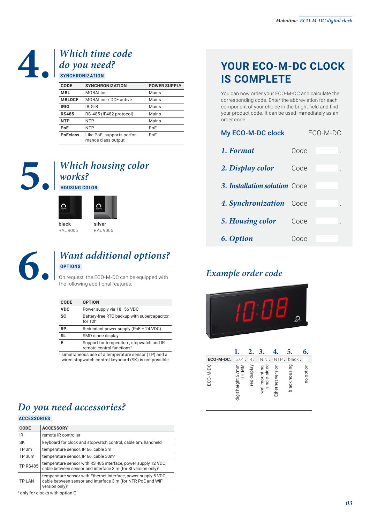## **4.** Which time code<br>do you need?<br> $\frac{1}{\text{SVMCHRONIZATION}}$ *do you need?*  **SYNCHRONIZATION**

| <b>CODE</b>     | <b>SYNCHRONIZATION</b>                           | <b>POWER SUPPLY</b> |
|-----------------|--------------------------------------------------|---------------------|
| <b>MBL</b>      | <b>MOBALine</b>                                  | Mains               |
| <b>MBLDCF</b>   | <b>MOBALine / DCF active</b>                     | Mains               |
| <b>IRIG</b>     | IRIG-B                                           | Mains               |
| <b>RS485</b>    | RS-485 (IF482 protocol)                          | Mains               |
| <b>NTP</b>      | <b>NTP</b>                                       | Mains               |
| PoE             | <b>NTP</b>                                       | PoE                 |
| <b>PoEclass</b> | Like PoE, supports perfor-<br>mance class output | PoE                 |

## **5.** *Which housing color works?*<br> **1 housing color** *works?*  **HOUSING COLOR**



#### **6.** *Want additional options?*  **OPTIONS**

On request, the ECO-M-DC can be equipped with the following additional features:

| CODE       | <b>OPTION</b>                                                                      |
|------------|------------------------------------------------------------------------------------|
| <b>VDC</b> | Power supply via 18-56 VDC                                                         |
| <b>SC</b>  | Battery-free RTC backup with supercapacitor<br>for 12h                             |
| <b>RP</b>  | Redundant power supply (PoE + 24 VDC)                                              |
| <b>SL</b>  | SMD diode display                                                                  |
| F          | Support for temperature, stopwatch and IR<br>remote control functions <sup>1</sup> |

1 simultaneous use of a temperature sensor (TP) and a wired stopwatch control keyboard (SK) is not possible

#### **YOUR ECO-M-DC CLOCK IS COMPLETE**

You can now order your ECO-M-DC and calculate the corresponding code. Enter the abbreviation for each component of your choice in the bright field and find your product code. It can be used immediately as an order code.

| My ECO-M-DC clock             |      | ECO-M-DC. |
|-------------------------------|------|-----------|
| 1. Format                     | Code |           |
| 2. Display color              | Code |           |
| 3. Installation solution Code |      |           |
| 4. Synchronization            | Code |           |
| 5. Housing color              | Code |           |
| 6. Option                     | Code |           |

#### *Example order code*



| ECO-M-DC. | 57.4.                      | R.          | N.N                            | <b>NTP</b>       | black.        |           |
|-----------|----------------------------|-------------|--------------------------------|------------------|---------------|-----------|
| ECO-M-DC  | digit height 57mm<br>HH:MM | red display | wall mounting,<br>single-sided | Ethernet version | black housing | no option |

### *Do you need accessories?*

 **ACCESSORIES** 

| <b>CODE</b>     | <b>ACCESSORY</b>                                                                                                                                               |
|-----------------|----------------------------------------------------------------------------------------------------------------------------------------------------------------|
| IR              | remote IR controller                                                                                                                                           |
| <b>SK</b>       | keyboard for clock and stopwatch control, cable 5m, handheld                                                                                                   |
| TP 3m           | temperature sensor, IP 66, cable 3m <sup>1</sup>                                                                                                               |
| TP 30m          | temperature sensor, IP 66, cable 30m <sup>1</sup>                                                                                                              |
| <b>TP RS485</b> | temperature sensor with RS 485 interface, power supply 12 VDC,<br>cable between sensor and interface 3 m (for SI version only) <sup>1</sup>                    |
| <b>TP LAN</b>   | temperature sensor with Ethernet interface, power supply 5 VDC,<br>cable between sensor and interface 3 m (for NTP, PoE and WiFi<br>version only) <sup>1</sup> |
|                 |                                                                                                                                                                |

1 only for clocks with option E